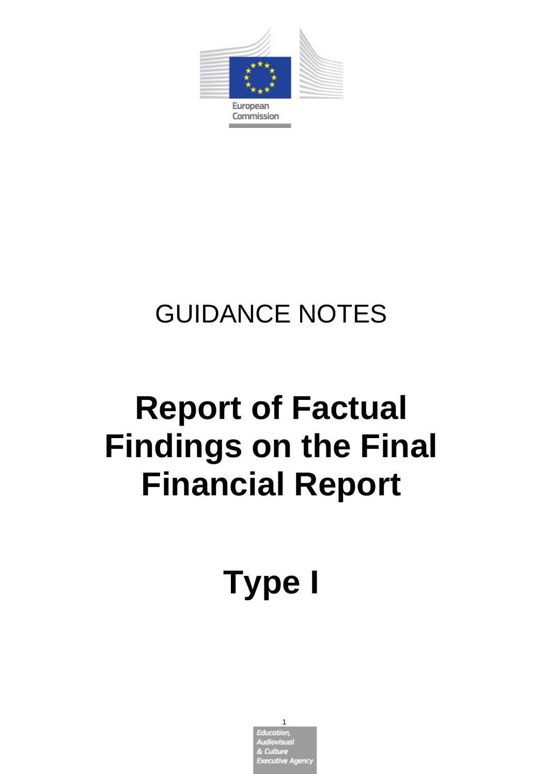

# GUIDANCE NOTES

# **Report of Factual Findings on the Final Financial Report**

# **Type I**

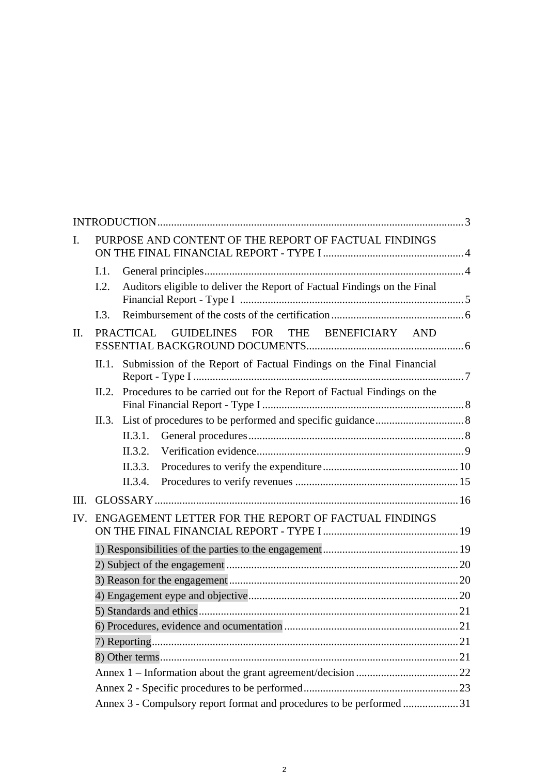| $\mathbf{I}$ . |                                                                      | PURPOSE AND CONTENT OF THE REPORT OF FACTUAL FINDINGS                        |    |  |
|----------------|----------------------------------------------------------------------|------------------------------------------------------------------------------|----|--|
|                | I.1.<br>1.2.                                                         | Auditors eligible to deliver the Report of Factual Findings on the Final     |    |  |
|                | 1.3.                                                                 |                                                                              |    |  |
| II.            |                                                                      | PRACTICAL GUIDELINES FOR THE BENEFICIARY AND                                 |    |  |
|                |                                                                      | II.1. Submission of the Report of Factual Findings on the Final Financial    |    |  |
|                |                                                                      | II.2. Procedures to be carried out for the Report of Factual Findings on the |    |  |
|                |                                                                      |                                                                              |    |  |
|                |                                                                      |                                                                              |    |  |
|                |                                                                      |                                                                              |    |  |
|                |                                                                      |                                                                              |    |  |
|                |                                                                      | II.3.4.                                                                      |    |  |
| III.           |                                                                      |                                                                              |    |  |
| IV.            | ENGAGEMENT LETTER FOR THE REPORT OF FACTUAL FINDINGS                 |                                                                              |    |  |
|                |                                                                      |                                                                              |    |  |
|                |                                                                      |                                                                              |    |  |
|                |                                                                      |                                                                              |    |  |
|                |                                                                      |                                                                              |    |  |
|                |                                                                      |                                                                              |    |  |
|                |                                                                      |                                                                              | 21 |  |
|                |                                                                      |                                                                              |    |  |
|                |                                                                      |                                                                              |    |  |
|                |                                                                      |                                                                              |    |  |
|                |                                                                      |                                                                              |    |  |
|                | Annex 3 - Compulsory report format and procedures to be performed 31 |                                                                              |    |  |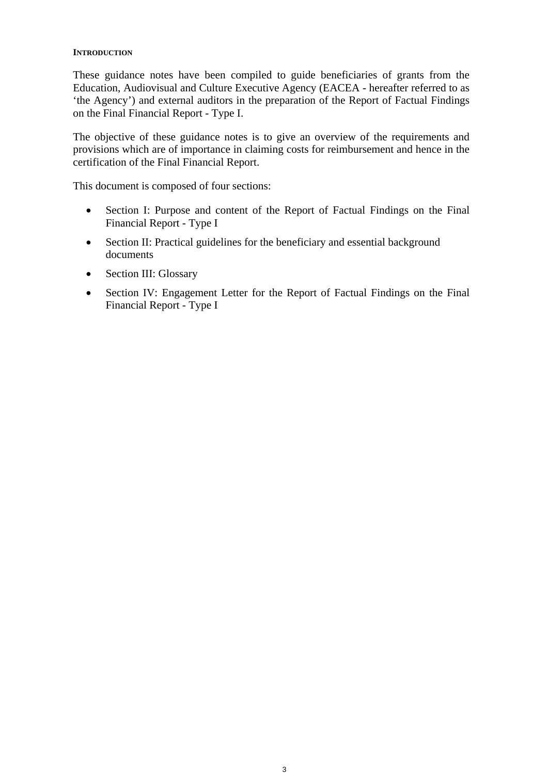#### **INTRODUCTION**

These guidance notes have been compiled to guide beneficiaries of grants from the Education, Audiovisual and Culture Executive Agency (EACEA - hereafter referred to as 'the Agency') and external auditors in the preparation of the Report of Factual Findings on the Final Financial Report - Type I.

The objective of these guidance notes is to give an overview of the requirements and provisions which are of importance in claiming costs for reimbursement and hence in the certification of the Final Financial Report.

This document is composed of four sections:

- Section I: Purpose and content of the Report of Factual Findings on the Final Financial Report - Type I
- Section II: Practical guidelines for the beneficiary and essential background documents
- Section III: Glossary
- Section IV: Engagement Letter for the Report of Factual Findings on the Final Financial Report - Type I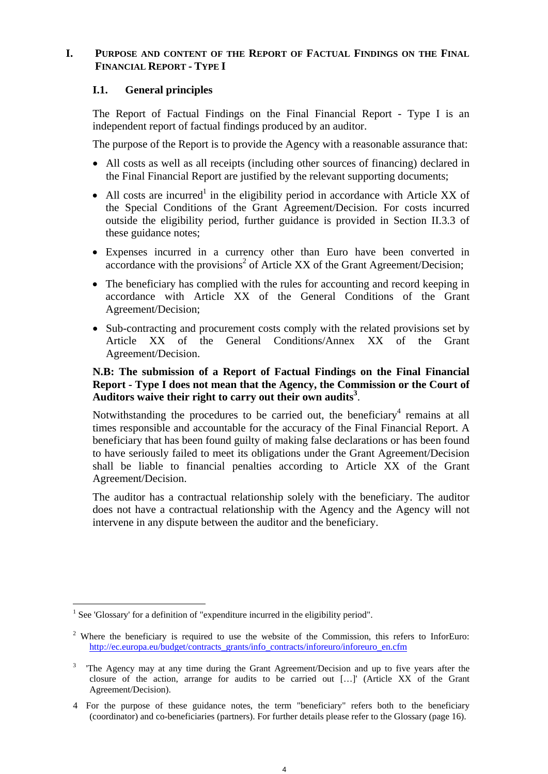# **I. PURPOSE AND CONTENT OF THE REPORT OF FACTUAL FINDINGS ON THE FINAL FINANCIAL REPORT - TYPE I**

# **I.1. General principles**

The Report of Factual Findings on the Final Financial Report - Type I is an independent report of factual findings produced by an auditor.

The purpose of the Report is to provide the Agency with a reasonable assurance that:

- All costs as well as all receipts (including other sources of financing) declared in the Final Financial Report are justified by the relevant supporting documents;
- All costs are incurred<sup>1</sup> in the eligibility period in accordance with Article XX of the Special Conditions of the Grant Agreement/Decision. For costs incurred outside the eligibility period, further guidance is provided in Section II.3.3 of these guidance notes;
- Expenses incurred in a currency other than Euro have been converted in accordance with the provisions<sup>2</sup> of Article XX of the Grant Agreement/Decision;
- The beneficiary has complied with the rules for accounting and record keeping in accordance with Article XX of the General Conditions of the Grant Agreement/Decision;
- Sub-contracting and procurement costs comply with the related provisions set by Article XX of the General Conditions/Annex XX of the Grant Agreement/Decision.

# **N.B: The submission of a Report of Factual Findings on the Final Financial Report - Type I does not mean that the Agency, the Commission or the Court of**  Auditors waive their right to carry out their own audits<sup>3</sup>.

Notwithstanding the procedures to be carried out, the beneficiary<sup>4</sup> remains at all times responsible and accountable for the accuracy of the Final Financial Report. A beneficiary that has been found guilty of making false declarations or has been found to have seriously failed to meet its obligations under the Grant Agreement/Decision shall be liable to financial penalties according to Article XX of the Grant Agreement/Decision.

The auditor has a contractual relationship solely with the beneficiary. The auditor does not have a contractual relationship with the Agency and the Agency will not intervene in any dispute between the auditor and the beneficiary.

<sup>&</sup>lt;sup>1</sup> See 'Glossary' for a definition of "expenditure incurred in the eligibility period".

<sup>&</sup>lt;sup>2</sup> Where the beneficiary is required to use the website of the Commission, this refers to InforEuro: http://ec.europa.eu/budget/contracts\_grants/info\_contracts/inforeuro/inforeuro\_en.cfm

<sup>&</sup>lt;sup>3</sup> The Agency may at any time during the Grant Agreement/Decision and up to five years after the closure of the action, arrange for audits to be carried out […]' (Article XX of the Grant Agreement/Decision).

<sup>4</sup> For the purpose of these guidance notes, the term "beneficiary" refers both to the beneficiary (coordinator) and co-beneficiaries (partners). For further details please refer to the Glossary (page 16).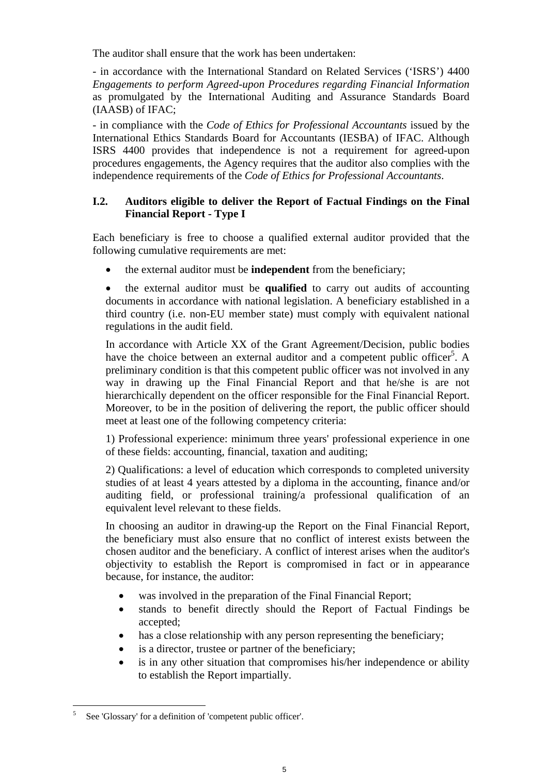The auditor shall ensure that the work has been undertaken:

- in accordance with the International Standard on Related Services ('ISRS') 4400 *Engagements to perform Agreed-upon Procedures regarding Financial Information*  as promulgated by the International Auditing and Assurance Standards Board (IAASB) of IFAC;

- in compliance with the *Code of Ethics for Professional Accountants* issued by the International Ethics Standards Board for Accountants (IESBA) of IFAC. Although ISRS 4400 provides that independence is not a requirement for agreed-upon procedures engagements, the Agency requires that the auditor also complies with the independence requirements of the *Code of Ethics for Professional Accountants*.

# **I.2. Auditors eligible to deliver the Report of Factual Findings on the Final Financial Report - Type I**

Each beneficiary is free to choose a qualified external auditor provided that the following cumulative requirements are met:

the external auditor must be **independent** from the beneficiary;

 the external auditor must be **qualified** to carry out audits of accounting documents in accordance with national legislation. A beneficiary established in a third country (i.e. non-EU member state) must comply with equivalent national regulations in the audit field.

In accordance with Article XX of the Grant Agreement/Decision, public bodies have the choice between an external auditor and a competent public officer<sup>5</sup>. A preliminary condition is that this competent public officer was not involved in any way in drawing up the Final Financial Report and that he/she is are not hierarchically dependent on the officer responsible for the Final Financial Report. Moreover, to be in the position of delivering the report, the public officer should meet at least one of the following competency criteria:

1) Professional experience: minimum three years' professional experience in one of these fields: accounting, financial, taxation and auditing;

2) Qualifications: a level of education which corresponds to completed university studies of at least 4 years attested by a diploma in the accounting, finance and/or auditing field, or professional training/a professional qualification of an equivalent level relevant to these fields.

In choosing an auditor in drawing-up the Report on the Final Financial Report, the beneficiary must also ensure that no conflict of interest exists between the chosen auditor and the beneficiary. A conflict of interest arises when the auditor's objectivity to establish the Report is compromised in fact or in appearance because, for instance, the auditor:

- was involved in the preparation of the Final Financial Report;
- stands to benefit directly should the Report of Factual Findings be accepted;
- has a close relationship with any person representing the beneficiary;
- is a director, trustee or partner of the beneficiary;
- is in any other situation that compromises his/her independence or ability to establish the Report impartially.

<sup>5</sup> See 'Glossary' for a definition of 'competent public officer'.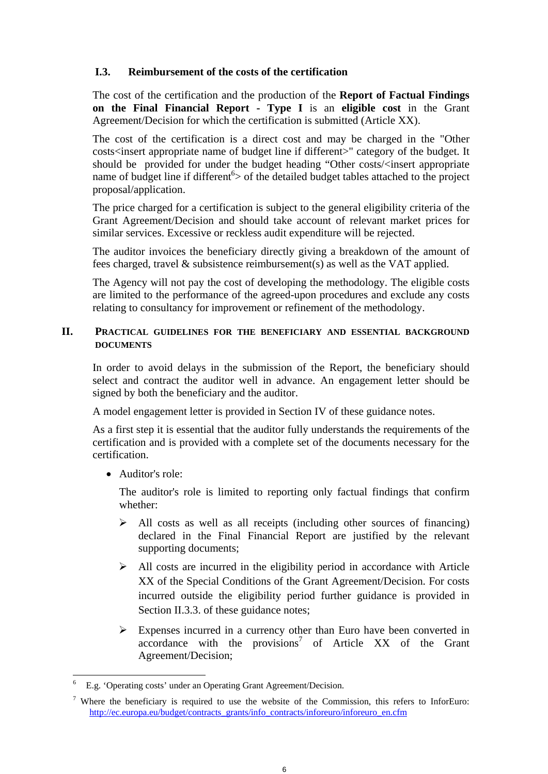# **I.3. Reimbursement of the costs of the certification**

The cost of the certification and the production of the **Report of Factual Findings on the Final Financial Report - Type I** is an **eligible cost** in the Grant Agreement/Decision for which the certification is submitted (Article XX).

The cost of the certification is a direct cost and may be charged in the "Other costs<insert appropriate name of budget line if different>" category of the budget. It should be provided for under the budget heading "Other costs/<insert appropriate name of budget line if different<sup>6</sup> $>$  of the detailed budget tables attached to the project proposal/application.

The price charged for a certification is subject to the general eligibility criteria of the Grant Agreement/Decision and should take account of relevant market prices for similar services. Excessive or reckless audit expenditure will be rejected.

The auditor invoices the beneficiary directly giving a breakdown of the amount of fees charged, travel & subsistence reimbursement(s) as well as the VAT applied.

The Agency will not pay the cost of developing the methodology. The eligible costs are limited to the performance of the agreed-upon procedures and exclude any costs relating to consultancy for improvement or refinement of the methodology.

# **II. PRACTICAL GUIDELINES FOR THE BENEFICIARY AND ESSENTIAL BACKGROUND DOCUMENTS**

In order to avoid delays in the submission of the Report, the beneficiary should select and contract the auditor well in advance. An engagement letter should be signed by both the beneficiary and the auditor.

A model engagement letter is provided in Section IV of these guidance notes.

As a first step it is essential that the auditor fully understands the requirements of the certification and is provided with a complete set of the documents necessary for the certification.

• Auditor's role:

 $\overline{a}$ 

The auditor's role is limited to reporting only factual findings that confirm whether:

- $\triangleright$  All costs as well as all receipts (including other sources of financing) declared in the Final Financial Report are justified by the relevant supporting documents;
- $\triangleright$  All costs are incurred in the eligibility period in accordance with Article XX of the Special Conditions of the Grant Agreement/Decision. For costs incurred outside the eligibility period further guidance is provided in Section II.3.3. of these guidance notes;
- $\triangleright$  Expenses incurred in a currency other than Euro have been converted in  $\arccor$  dance with the provisions<sup>7</sup> of Article XX of the Grant Agreement/Decision;

<sup>6</sup> E.g. 'Operating costs' under an Operating Grant Agreement/Decision.

<sup>&</sup>lt;sup>7</sup> Where the beneficiary is required to use the website of the Commission, this refers to InforEuro: http://ec.europa.eu/budget/contracts\_grants/info\_contracts/inforeuro/inforeuro\_en.cfm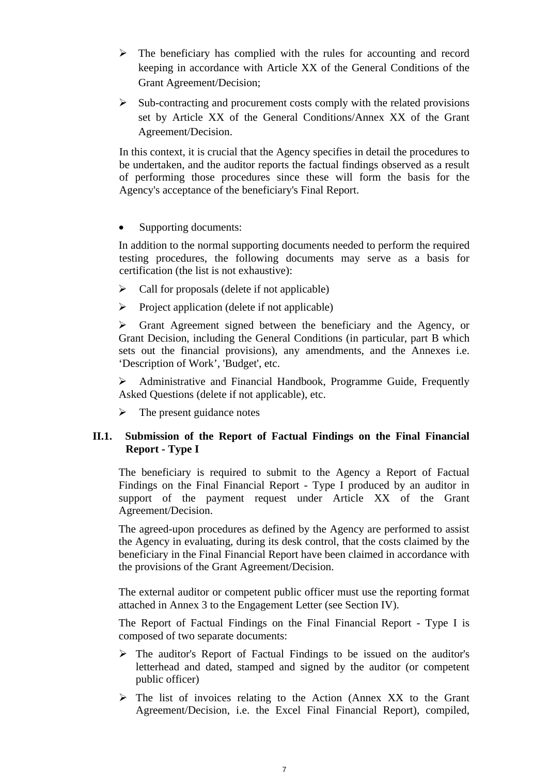- $\triangleright$  The beneficiary has complied with the rules for accounting and record keeping in accordance with Article XX of the General Conditions of the Grant Agreement/Decision;
- $\triangleright$  Sub-contracting and procurement costs comply with the related provisions set by Article XX of the General Conditions/Annex XX of the Grant Agreement/Decision.

In this context, it is crucial that the Agency specifies in detail the procedures to be undertaken, and the auditor reports the factual findings observed as a result of performing those procedures since these will form the basis for the Agency's acceptance of the beneficiary's Final Report.

• Supporting documents:

In addition to the normal supporting documents needed to perform the required testing procedures, the following documents may serve as a basis for certification (the list is not exhaustive):

- $\triangleright$  Call for proposals (delete if not applicable)
- $\triangleright$  Project application (delete if not applicable)

 $\triangleright$  Grant Agreement signed between the beneficiary and the Agency, or Grant Decision, including the General Conditions (in particular, part B which sets out the financial provisions), any amendments, and the Annexes i.e. 'Description of Work', 'Budget', etc.

 Administrative and Financial Handbook, Programme Guide, Frequently Asked Questions (delete if not applicable), etc.

 $\triangleright$  The present guidance notes

# **II.1. Submission of the Report of Factual Findings on the Final Financial Report - Type I**

The beneficiary is required to submit to the Agency a Report of Factual Findings on the Final Financial Report - Type I produced by an auditor in support of the payment request under Article XX of the Grant Agreement/Decision.

The agreed-upon procedures as defined by the Agency are performed to assist the Agency in evaluating, during its desk control, that the costs claimed by the beneficiary in the Final Financial Report have been claimed in accordance with the provisions of the Grant Agreement/Decision.

The external auditor or competent public officer must use the reporting format attached in Annex 3 to the Engagement Letter (see Section IV).

The Report of Factual Findings on the Final Financial Report - Type I is composed of two separate documents:

- $\triangleright$  The auditor's Report of Factual Findings to be issued on the auditor's letterhead and dated, stamped and signed by the auditor (or competent public officer)
- $\triangleright$  The list of invoices relating to the Action (Annex XX to the Grant Agreement/Decision, i.e. the Excel Final Financial Report), compiled,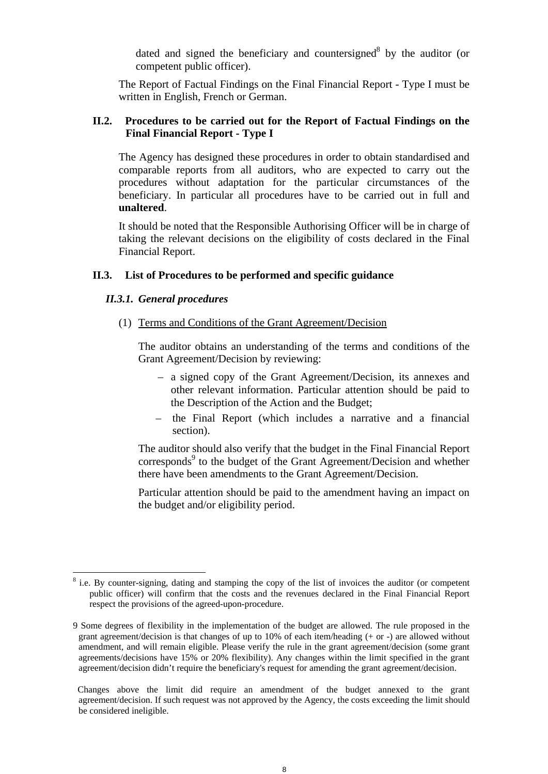dated and signed the beneficiary and countersigned $8$  by the auditor (or competent public officer).

The Report of Factual Findings on the Final Financial Report - Type I must be written in English, French or German.

# **II.2. Procedures to be carried out for the Report of Factual Findings on the Final Financial Report - Type I**

The Agency has designed these procedures in order to obtain standardised and comparable reports from all auditors, who are expected to carry out the procedures without adaptation for the particular circumstances of the beneficiary. In particular all procedures have to be carried out in full and **unaltered**.

It should be noted that the Responsible Authorising Officer will be in charge of taking the relevant decisions on the eligibility of costs declared in the Final Financial Report.

#### **II.3. List of Procedures to be performed and specific guidance**

#### *II.3.1. General procedures*

(1) Terms and Conditions of the Grant Agreement/Decision

The auditor obtains an understanding of the terms and conditions of the Grant Agreement/Decision by reviewing:

- a signed copy of the Grant Agreement/Decision, its annexes and other relevant information. Particular attention should be paid to the Description of the Action and the Budget;
- the Final Report (which includes a narrative and a financial section).

The auditor should also verify that the budget in the Final Financial Report corresponds<sup>9</sup> to the budget of the Grant Agreement/Decision and whether there have been amendments to the Grant Agreement/Decision.

Particular attention should be paid to the amendment having an impact on the budget and/or eligibility period.

 Changes above the limit did require an amendment of the budget annexed to the grant agreement/decision. If such request was not approved by the Agency, the costs exceeding the limit should be considered ineligible.

<sup>&</sup>lt;sup>8</sup> i.e. By counter-signing, dating and stamping the copy of the list of invoices the auditor (or competent public officer) will confirm that the costs and the revenues declared in the Final Financial Report respect the provisions of the agreed-upon-procedure.

<sup>9</sup> Some degrees of flexibility in the implementation of the budget are allowed. The rule proposed in the grant agreement/decision is that changes of up to 10% of each item/heading (+ or -) are allowed without amendment, and will remain eligible. Please verify the rule in the grant agreement/decision (some grant agreements/decisions have 15% or 20% flexibility). Any changes within the limit specified in the grant agreement/decision didn't require the beneficiary's request for amending the grant agreement/decision.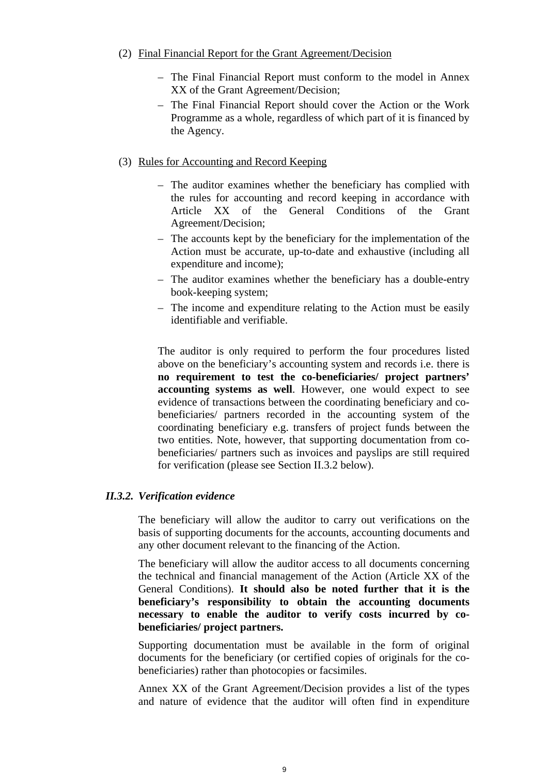# (2) Final Financial Report for the Grant Agreement/Decision

- The Final Financial Report must conform to the model in Annex XX of the Grant Agreement/Decision;
- The Final Financial Report should cover the Action or the Work Programme as a whole, regardless of which part of it is financed by the Agency.
- (3) Rules for Accounting and Record Keeping
	- The auditor examines whether the beneficiary has complied with the rules for accounting and record keeping in accordance with Article XX of the General Conditions of the Grant Agreement/Decision;
	- The accounts kept by the beneficiary for the implementation of the Action must be accurate, up-to-date and exhaustive (including all expenditure and income);
	- The auditor examines whether the beneficiary has a double-entry book-keeping system;
	- The income and expenditure relating to the Action must be easily identifiable and verifiable.

The auditor is only required to perform the four procedures listed above on the beneficiary's accounting system and records i.e. there is **no requirement to test the co-beneficiaries/ project partners' accounting systems as well**. However, one would expect to see evidence of transactions between the coordinating beneficiary and cobeneficiaries/ partners recorded in the accounting system of the coordinating beneficiary e.g. transfers of project funds between the two entities. Note, however, that supporting documentation from cobeneficiaries/ partners such as invoices and payslips are still required for verification (please see Section II.3.2 below).

# *II.3.2. Verification evidence*

The beneficiary will allow the auditor to carry out verifications on the basis of supporting documents for the accounts, accounting documents and any other document relevant to the financing of the Action.

The beneficiary will allow the auditor access to all documents concerning the technical and financial management of the Action (Article XX of the General Conditions). **It should also be noted further that it is the beneficiary's responsibility to obtain the accounting documents necessary to enable the auditor to verify costs incurred by cobeneficiaries/ project partners.**

Supporting documentation must be available in the form of original documents for the beneficiary (or certified copies of originals for the cobeneficiaries) rather than photocopies or facsimiles.

Annex XX of the Grant Agreement/Decision provides a list of the types and nature of evidence that the auditor will often find in expenditure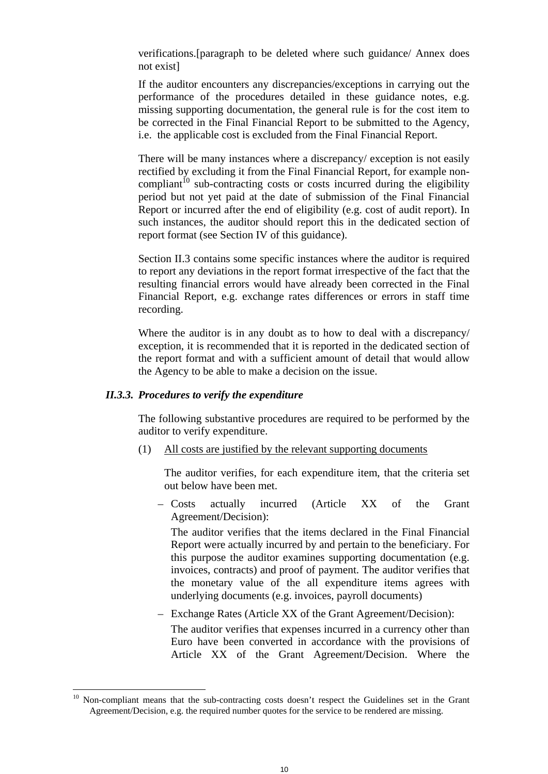verifications.[paragraph to be deleted where such guidance/ Annex does not exist]

If the auditor encounters any discrepancies/exceptions in carrying out the performance of the procedures detailed in these guidance notes, e.g. missing supporting documentation, the general rule is for the cost item to be corrected in the Final Financial Report to be submitted to the Agency, i.e. the applicable cost is excluded from the Final Financial Report.

There will be many instances where a discrepancy/ exception is not easily rectified by excluding it from the Final Financial Report, for example noncompliant<sup> $10$ </sup> sub-contracting costs or costs incurred during the eligibility period but not yet paid at the date of submission of the Final Financial Report or incurred after the end of eligibility (e.g. cost of audit report). In such instances, the auditor should report this in the dedicated section of report format (see Section IV of this guidance).

Section II.3 contains some specific instances where the auditor is required to report any deviations in the report format irrespective of the fact that the resulting financial errors would have already been corrected in the Final Financial Report, e.g. exchange rates differences or errors in staff time recording.

Where the auditor is in any doubt as to how to deal with a discrepancy/ exception, it is recommended that it is reported in the dedicated section of the report format and with a sufficient amount of detail that would allow the Agency to be able to make a decision on the issue.

#### *II.3.3. Procedures to verify the expenditure*

 $\overline{a}$ 

The following substantive procedures are required to be performed by the auditor to verify expenditure.

(1) All costs are justified by the relevant supporting documents

The auditor verifies, for each expenditure item, that the criteria set out below have been met.

– Costs actually incurred (Article XX of the Grant Agreement/Decision):

The auditor verifies that the items declared in the Final Financial Report were actually incurred by and pertain to the beneficiary. For this purpose the auditor examines supporting documentation (e.g. invoices, contracts) and proof of payment. The auditor verifies that the monetary value of the all expenditure items agrees with underlying documents (e.g. invoices, payroll documents)

– Exchange Rates (Article XX of the Grant Agreement/Decision):

The auditor verifies that expenses incurred in a currency other than Euro have been converted in accordance with the provisions of Article XX of the Grant Agreement/Decision. Where the

<sup>10</sup> Non-compliant means that the sub-contracting costs doesn't respect the Guidelines set in the Grant Agreement/Decision, e.g. the required number quotes for the service to be rendered are missing.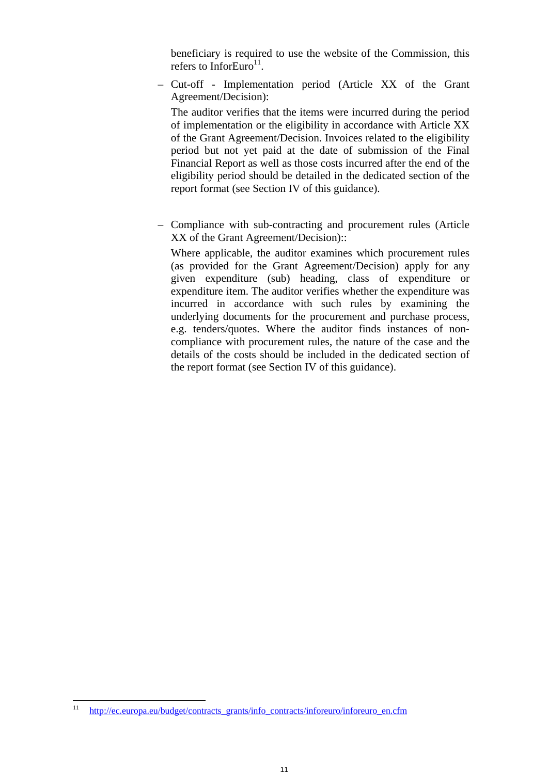beneficiary is required to use the website of the Commission, this refers to InforEuro<sup>11</sup>.

– Cut-off - Implementation period (Article XX of the Grant Agreement/Decision):

The auditor verifies that the items were incurred during the period of implementation or the eligibility in accordance with Article XX of the Grant Agreement/Decision. Invoices related to the eligibility period but not yet paid at the date of submission of the Final Financial Report as well as those costs incurred after the end of the eligibility period should be detailed in the dedicated section of the report format (see Section IV of this guidance).

– Compliance with sub-contracting and procurement rules (Article XX of the Grant Agreement/Decision)::

Where applicable, the auditor examines which procurement rules (as provided for the Grant Agreement/Decision) apply for any given expenditure (sub) heading, class of expenditure or expenditure item. The auditor verifies whether the expenditure was incurred in accordance with such rules by examining the underlying documents for the procurement and purchase process, e.g. tenders/quotes. Where the auditor finds instances of noncompliance with procurement rules, the nature of the case and the details of the costs should be included in the dedicated section of the report format (see Section IV of this guidance).

 $11$ http://ec.europa.eu/budget/contracts\_grants/info\_contracts/inforeuro/inforeuro\_en.cfm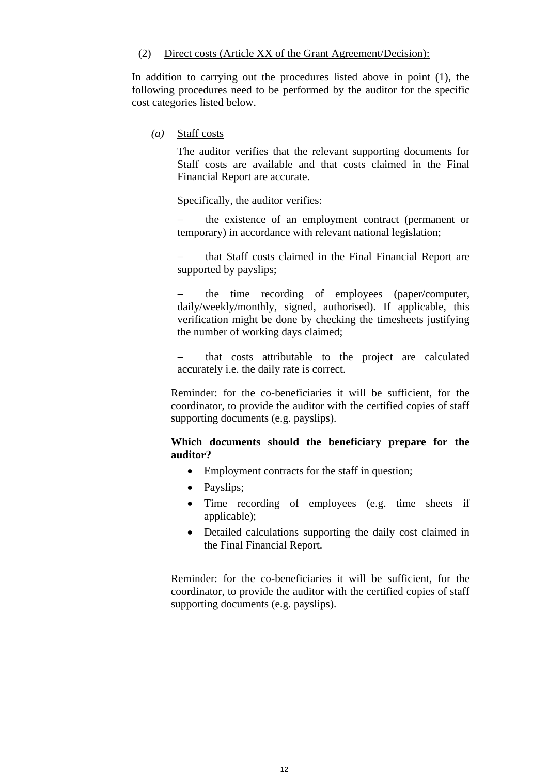#### (2) Direct costs (Article XX of the Grant Agreement/Decision):

In addition to carrying out the procedures listed above in point (1), the following procedures need to be performed by the auditor for the specific cost categories listed below.

*(a)* Staff costs

The auditor verifies that the relevant supporting documents for Staff costs are available and that costs claimed in the Final Financial Report are accurate.

Specifically, the auditor verifies:

 the existence of an employment contract (permanent or temporary) in accordance with relevant national legislation;

 that Staff costs claimed in the Final Financial Report are supported by payslips;

 the time recording of employees (paper/computer, daily/weekly/monthly, signed, authorised). If applicable, this verification might be done by checking the timesheets justifying the number of working days claimed;

 that costs attributable to the project are calculated accurately i.e. the daily rate is correct.

Reminder: for the co-beneficiaries it will be sufficient, for the coordinator, to provide the auditor with the certified copies of staff supporting documents (e.g. payslips).

# **Which documents should the beneficiary prepare for the auditor?**

- Employment contracts for the staff in question;
- Payslips;
- Time recording of employees (e.g. time sheets if applicable);
- Detailed calculations supporting the daily cost claimed in the Final Financial Report.

Reminder: for the co-beneficiaries it will be sufficient, for the coordinator, to provide the auditor with the certified copies of staff supporting documents (e.g. payslips).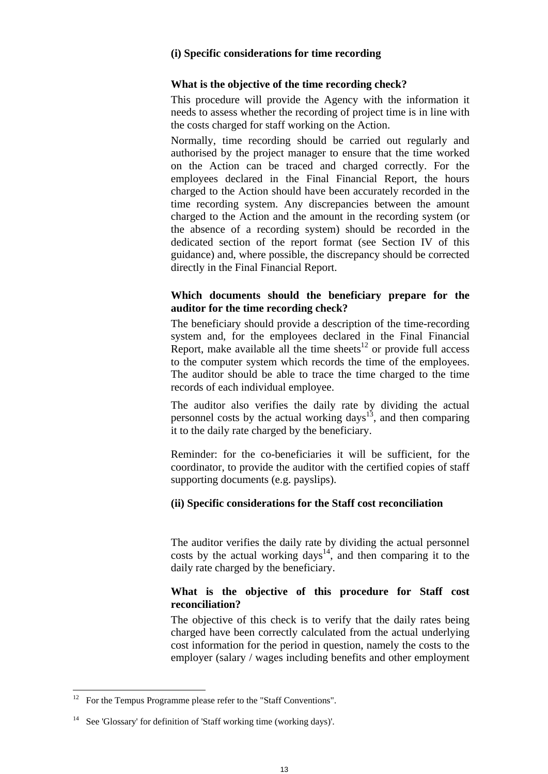# **(i) Specific considerations for time recording**

#### **What is the objective of the time recording check?**

This procedure will provide the Agency with the information it needs to assess whether the recording of project time is in line with the costs charged for staff working on the Action.

Normally, time recording should be carried out regularly and authorised by the project manager to ensure that the time worked on the Action can be traced and charged correctly. For the employees declared in the Final Financial Report, the hours charged to the Action should have been accurately recorded in the time recording system. Any discrepancies between the amount charged to the Action and the amount in the recording system (or the absence of a recording system) should be recorded in the dedicated section of the report format (see Section IV of this guidance) and, where possible, the discrepancy should be corrected directly in the Final Financial Report.

# **Which documents should the beneficiary prepare for the auditor for the time recording check?**

The beneficiary should provide a description of the time-recording system and, for the employees declared in the Final Financial Report, make available all the time sheets<sup>12</sup> or provide full access to the computer system which records the time of the employees. The auditor should be able to trace the time charged to the time records of each individual employee.

The auditor also verifies the daily rate by dividing the actual personnel costs by the actual working  $days$ <sup>13</sup>, and then comparing it to the daily rate charged by the beneficiary.

Reminder: for the co-beneficiaries it will be sufficient, for the coordinator, to provide the auditor with the certified copies of staff supporting documents (e.g. payslips).

#### **(ii) Specific considerations for the Staff cost reconciliation**

The auditor verifies the daily rate by dividing the actual personnel costs by the actual working days<sup>14</sup>, and then comparing it to the daily rate charged by the beneficiary.

# **What is the objective of this procedure for Staff cost reconciliation?**

The objective of this check is to verify that the daily rates being charged have been correctly calculated from the actual underlying cost information for the period in question, namely the costs to the employer (salary / wages including benefits and other employment

<sup>12</sup> For the Tempus Programme please refer to the "Staff Conventions".

<sup>&</sup>lt;sup>14</sup> See 'Glossary' for definition of 'Staff working time (working days)'.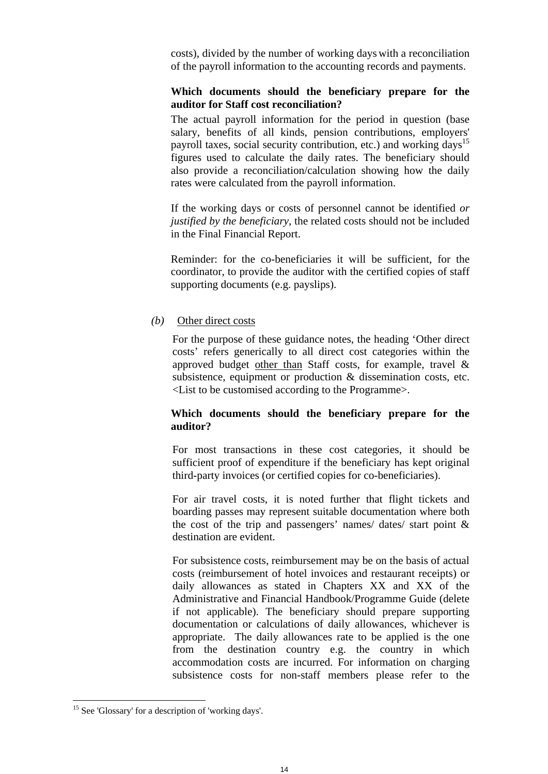costs), divided by the number of working days with a reconciliation of the payroll information to the accounting records and payments.

# **Which documents should the beneficiary prepare for the auditor for Staff cost reconciliation?**

The actual payroll information for the period in question (base salary, benefits of all kinds, pension contributions, employers' payroll taxes, social security contribution, etc.) and working days<sup>15</sup> figures used to calculate the daily rates. The beneficiary should also provide a reconciliation/calculation showing how the daily rates were calculated from the payroll information.

If the working days or costs of personnel cannot be identified *or justified by the beneficiary*, the related costs should not be included in the Final Financial Report.

Reminder: for the co-beneficiaries it will be sufficient, for the coordinator, to provide the auditor with the certified copies of staff supporting documents (e.g. payslips).

#### *(b)* Other direct costs

For the purpose of these guidance notes, the heading 'Other direct costs' refers generically to all direct cost categories within the approved budget other than Staff costs, for example, travel & subsistence, equipment or production & dissemination costs, etc. <List to be customised according to the Programme>.

# **Which documents should the beneficiary prepare for the auditor?**

For most transactions in these cost categories, it should be sufficient proof of expenditure if the beneficiary has kept original third-party invoices (or certified copies for co-beneficiaries).

For air travel costs, it is noted further that flight tickets and boarding passes may represent suitable documentation where both the cost of the trip and passengers' names/ dates/ start point & destination are evident.

For subsistence costs, reimbursement may be on the basis of actual costs (reimbursement of hotel invoices and restaurant receipts) or daily allowances as stated in Chapters XX and XX of the Administrative and Financial Handbook/Programme Guide (delete if not applicable). The beneficiary should prepare supporting documentation or calculations of daily allowances, whichever is appropriate. The daily allowances rate to be applied is the one from the destination country e.g. the country in which accommodation costs are incurred. For information on charging subsistence costs for non-staff members please refer to the

<sup>&</sup>lt;sup>15</sup> See 'Glossary' for a description of 'working days'.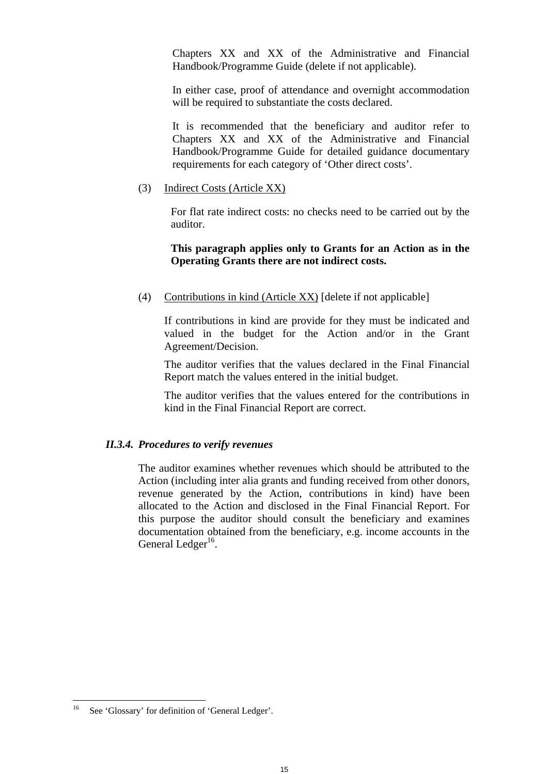Chapters XX and XX of the Administrative and Financial Handbook/Programme Guide (delete if not applicable).

In either case, proof of attendance and overnight accommodation will be required to substantiate the costs declared.

It is recommended that the beneficiary and auditor refer to Chapters XX and XX of the Administrative and Financial Handbook/Programme Guide for detailed guidance documentary requirements for each category of 'Other direct costs'.

(3) Indirect Costs (Article XX)

For flat rate indirect costs: no checks need to be carried out by the auditor.

# **This paragraph applies only to Grants for an Action as in the Operating Grants there are not indirect costs.**

(4) Contributions in kind (Article XX) [delete if not applicable]

If contributions in kind are provide for they must be indicated and valued in the budget for the Action and/or in the Grant Agreement/Decision.

The auditor verifies that the values declared in the Final Financial Report match the values entered in the initial budget.

The auditor verifies that the values entered for the contributions in kind in the Final Financial Report are correct.

#### *II.3.4. Procedures to verify revenues*

The auditor examines whether revenues which should be attributed to the Action (including inter alia grants and funding received from other donors, revenue generated by the Action, contributions in kind) have been allocated to the Action and disclosed in the Final Financial Report. For this purpose the auditor should consult the beneficiary and examines documentation obtained from the beneficiary, e.g. income accounts in the General Ledger $^{16}$ .

<sup>16</sup> See 'Glossary' for definition of 'General Ledger'.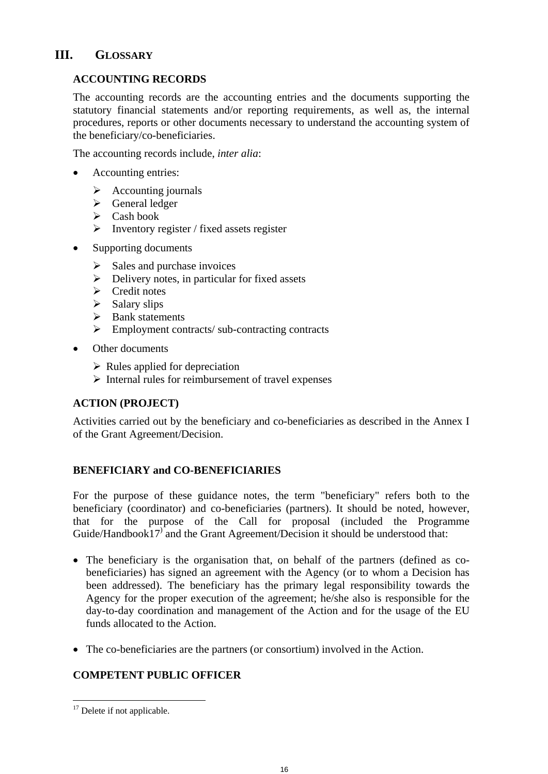# **III. GLOSSARY**

# **ACCOUNTING RECORDS**

The accounting records are the accounting entries and the documents supporting the statutory financial statements and/or reporting requirements, as well as, the internal procedures, reports or other documents necessary to understand the accounting system of the beneficiary/co-beneficiaries.

The accounting records include, *inter alia*:

- Accounting entries:
	- $\triangleright$  Accounting journals
	- $\triangleright$  General ledger
	- $\triangleright$  Cash book
	- $\triangleright$  Inventory register / fixed assets register
- Supporting documents
	- $\triangleright$  Sales and purchase invoices
	- $\triangleright$  Delivery notes, in particular for fixed assets
	- $\triangleright$  Credit notes
	- $\triangleright$  Salary slips
	- $\triangleright$  Bank statements
	- $\triangleright$  Employment contracts/ sub-contracting contracts
- Other documents
	- $\triangleright$  Rules applied for depreciation
	- $\triangleright$  Internal rules for reimbursement of travel expenses

# **ACTION (PROJECT)**

Activities carried out by the beneficiary and co-beneficiaries as described in the Annex I of the Grant Agreement/Decision.

# **BENEFICIARY and CO-BENEFICIARIES**

For the purpose of these guidance notes, the term "beneficiary" refers both to the beneficiary (coordinator) and co-beneficiaries (partners). It should be noted, however, that for the purpose of the Call for proposal (included the Programme Guide/Handbook17) and the Grant Agreement/Decision it should be understood that:

- The beneficiary is the organisation that, on behalf of the partners (defined as cobeneficiaries) has signed an agreement with the Agency (or to whom a Decision has been addressed). The beneficiary has the primary legal responsibility towards the Agency for the proper execution of the agreement; he/she also is responsible for the day-to-day coordination and management of the Action and for the usage of the EU funds allocated to the Action.
- The co-beneficiaries are the partners (or consortium) involved in the Action.

# **COMPETENT PUBLIC OFFICER**

 $\overline{a}$ <sup>17</sup> Delete if not applicable.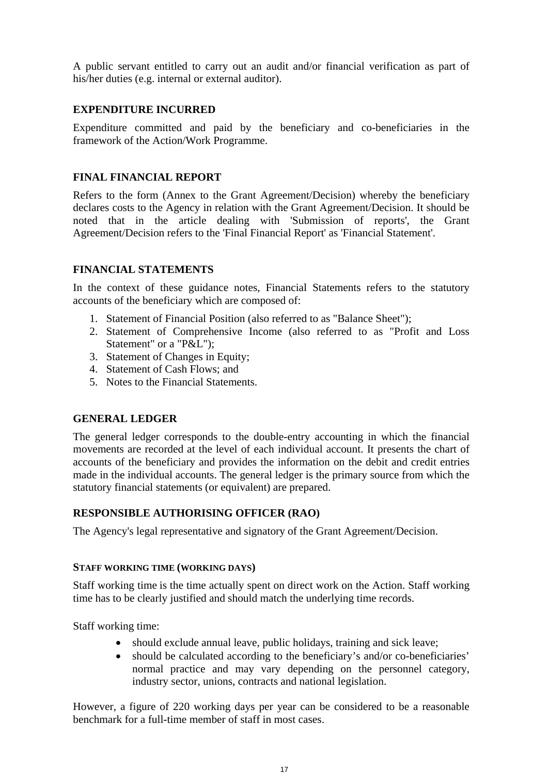A public servant entitled to carry out an audit and/or financial verification as part of his/her duties (e.g. internal or external auditor).

# **EXPENDITURE INCURRED**

Expenditure committed and paid by the beneficiary and co-beneficiaries in the framework of the Action/Work Programme.

# **FINAL FINANCIAL REPORT**

Refers to the form (Annex to the Grant Agreement/Decision) whereby the beneficiary declares costs to the Agency in relation with the Grant Agreement/Decision. It should be noted that in the article dealing with 'Submission of reports', the Grant Agreement/Decision refers to the 'Final Financial Report' as 'Financial Statement'.

# **FINANCIAL STATEMENTS**

In the context of these guidance notes, Financial Statements refers to the statutory accounts of the beneficiary which are composed of:

- 1. Statement of Financial Position (also referred to as "Balance Sheet");
- 2. Statement of Comprehensive Income (also referred to as "Profit and Loss Statement" or a "P&L");
- 3. Statement of Changes in Equity;
- 4. Statement of Cash Flows; and
- 5. Notes to the Financial Statements.

# **GENERAL LEDGER**

The general ledger corresponds to the double-entry accounting in which the financial movements are recorded at the level of each individual account. It presents the chart of accounts of the beneficiary and provides the information on the debit and credit entries made in the individual accounts. The general ledger is the primary source from which the statutory financial statements (or equivalent) are prepared.

# **RESPONSIBLE AUTHORISING OFFICER (RAO)**

The Agency's legal representative and signatory of the Grant Agreement/Decision.

# **STAFF WORKING TIME (WORKING DAYS)**

Staff working time is the time actually spent on direct work on the Action. Staff working time has to be clearly justified and should match the underlying time records.

Staff working time:

- should exclude annual leave, public holidays, training and sick leave;
- should be calculated according to the beneficiary's and/or co-beneficiaries' normal practice and may vary depending on the personnel category, industry sector, unions, contracts and national legislation.

However, a figure of 220 working days per year can be considered to be a reasonable benchmark for a full-time member of staff in most cases.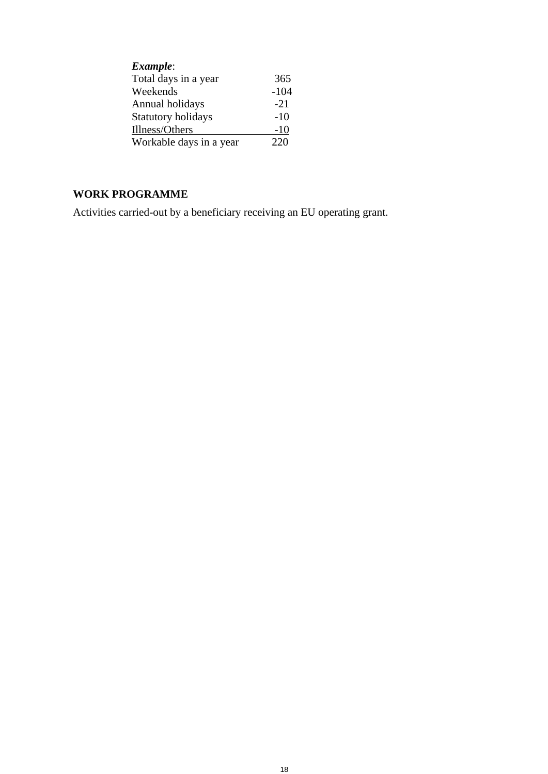| Example:                  |        |
|---------------------------|--------|
| Total days in a year      | 365    |
| Weekends                  | $-104$ |
| Annual holidays           | $-21$  |
| <b>Statutory holidays</b> | $-10$  |
| Illness/Others            | $-10$  |
| Workable days in a year   | 220    |

# **WORK PROGRAMME**

Activities carried-out by a beneficiary receiving an EU operating grant.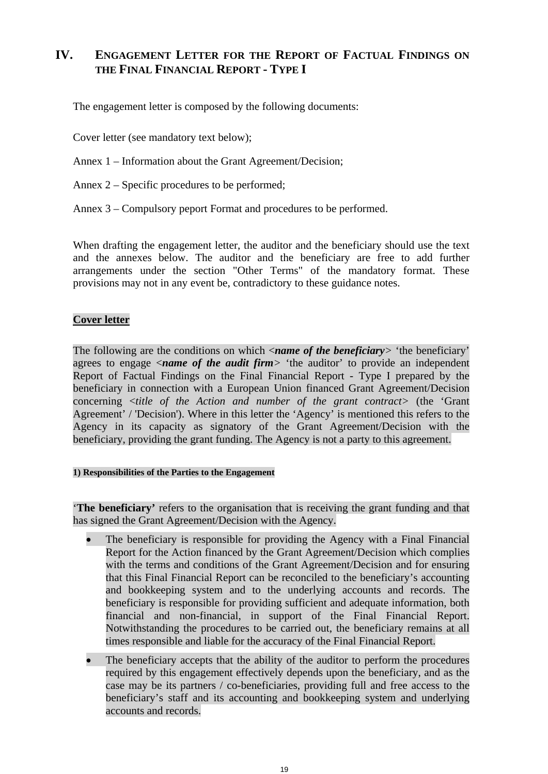# **IV. ENGAGEMENT LETTER FOR THE REPORT OF FACTUAL FINDINGS ON THE FINAL FINANCIAL REPORT - TYPE I**

The engagement letter is composed by the following documents:

Cover letter (see mandatory text below);

Annex 1 – Information about the Grant Agreement/Decision;

Annex 2 – Specific procedures to be performed;

Annex 3 – Compulsory peport Format and procedures to be performed.

When drafting the engagement letter, the auditor and the beneficiary should use the text and the annexes below. The auditor and the beneficiary are free to add further arrangements under the section "Other Terms" of the mandatory format. These provisions may not in any event be, contradictory to these guidance notes.

# **Cover letter**

The following are the conditions on which <*name of the beneficiary>* 'the beneficiary' agrees to engage <*name of the audit firm>* 'the auditor' to provide an independent Report of Factual Findings on the Final Financial Report - Type I prepared by the beneficiary in connection with a European Union financed Grant Agreement/Decision concerning <*title of the Action and number of the grant contract>* (the 'Grant Agreement' / 'Decision'). Where in this letter the 'Agency' is mentioned this refers to the Agency in its capacity as signatory of the Grant Agreement/Decision with the beneficiary, providing the grant funding. The Agency is not a party to this agreement.

#### **1) Responsibilities of the Parties to the Engagement**

'**The beneficiary'** refers to the organisation that is receiving the grant funding and that has signed the Grant Agreement/Decision with the Agency.

- The beneficiary is responsible for providing the Agency with a Final Financial Report for the Action financed by the Grant Agreement/Decision which complies with the terms and conditions of the Grant Agreement/Decision and for ensuring that this Final Financial Report can be reconciled to the beneficiary's accounting and bookkeeping system and to the underlying accounts and records. The beneficiary is responsible for providing sufficient and adequate information, both financial and non-financial, in support of the Final Financial Report. Notwithstanding the procedures to be carried out, the beneficiary remains at all times responsible and liable for the accuracy of the Final Financial Report.
- The beneficiary accepts that the ability of the auditor to perform the procedures required by this engagement effectively depends upon the beneficiary, and as the case may be its partners / co-beneficiaries, providing full and free access to the beneficiary's staff and its accounting and bookkeeping system and underlying accounts and records.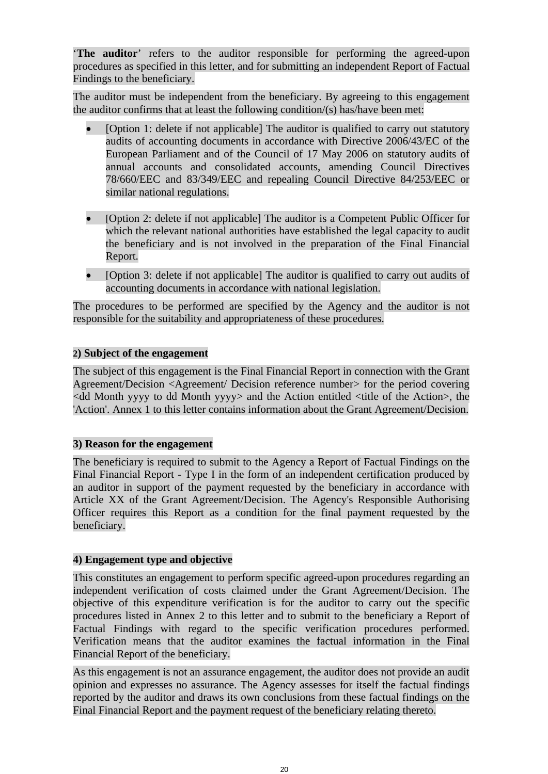'**The auditor**' refers to the auditor responsible for performing the agreed-upon procedures as specified in this letter, and for submitting an independent Report of Factual Findings to the beneficiary.

The auditor must be independent from the beneficiary. By agreeing to this engagement the auditor confirms that at least the following condition/(s) has/have been met:

- [Option 1: delete if not applicable] The auditor is qualified to carry out statutory audits of accounting documents in accordance with Directive 2006/43/EC of the European Parliament and of the Council of 17 May 2006 on statutory audits of annual accounts and consolidated accounts, amending Council Directives 78/660/EEC and 83/349/EEC and repealing Council Directive 84/253/EEC or similar national regulations.
- [Option 2: delete if not applicable] The auditor is a Competent Public Officer for which the relevant national authorities have established the legal capacity to audit the beneficiary and is not involved in the preparation of the Final Financial Report.
- [Option 3: delete if not applicable] The auditor is qualified to carry out audits of accounting documents in accordance with national legislation.

The procedures to be performed are specified by the Agency and the auditor is not responsible for the suitability and appropriateness of these procedures.

# **2) Subject of the engagement**

The subject of this engagement is the Final Financial Report in connection with the Grant Agreement/Decision <Agreement/ Decision reference number> for the period covering  $\lt$ dd Month yyyy to dd Month yyyy> and the Action entitled  $\lt$ title of the Action>, the 'Action'. Annex 1 to this letter contains information about the Grant Agreement/Decision.

# **3) Reason for the engagement**

The beneficiary is required to submit to the Agency a Report of Factual Findings on the Final Financial Report - Type I in the form of an independent certification produced by an auditor in support of the payment requested by the beneficiary in accordance with Article XX of the Grant Agreement/Decision. The Agency's Responsible Authorising Officer requires this Report as a condition for the final payment requested by the beneficiary.

# **4) Engagement type and objective**

This constitutes an engagement to perform specific agreed-upon procedures regarding an independent verification of costs claimed under the Grant Agreement/Decision. The objective of this expenditure verification is for the auditor to carry out the specific procedures listed in Annex 2 to this letter and to submit to the beneficiary a Report of Factual Findings with regard to the specific verification procedures performed. Verification means that the auditor examines the factual information in the Final Financial Report of the beneficiary.

As this engagement is not an assurance engagement, the auditor does not provide an audit opinion and expresses no assurance. The Agency assesses for itself the factual findings reported by the auditor and draws its own conclusions from these factual findings on the Final Financial Report and the payment request of the beneficiary relating thereto.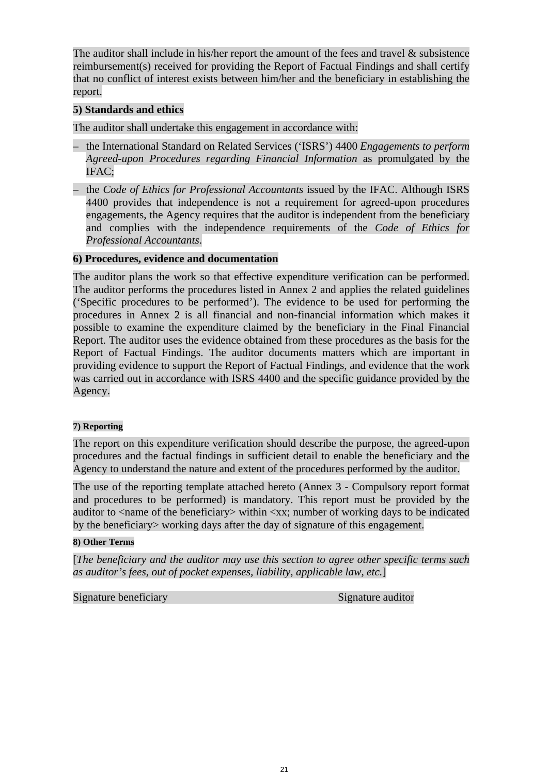The auditor shall include in his/her report the amount of the fees and travel  $\&$  subsistence reimbursement(s) received for providing the Report of Factual Findings and shall certify that no conflict of interest exists between him/her and the beneficiary in establishing the report.

# **5) Standards and ethics**

The auditor shall undertake this engagement in accordance with:

- the International Standard on Related Services ('ISRS') 4400 *Engagements to perform Agreed-upon Procedures regarding Financial Information* as promulgated by the IFAC;
- the *Code of Ethics for Professional Accountants* issued by the IFAC. Although ISRS 4400 provides that independence is not a requirement for agreed-upon procedures engagements, the Agency requires that the auditor is independent from the beneficiary and complies with the independence requirements of the *Code of Ethics for Professional Accountants*.

# **6) Procedures, evidence and documentation**

The auditor plans the work so that effective expenditure verification can be performed. The auditor performs the procedures listed in Annex 2 and applies the related guidelines ('Specific procedures to be performed'). The evidence to be used for performing the procedures in Annex 2 is all financial and non-financial information which makes it possible to examine the expenditure claimed by the beneficiary in the Final Financial Report. The auditor uses the evidence obtained from these procedures as the basis for the Report of Factual Findings. The auditor documents matters which are important in providing evidence to support the Report of Factual Findings, and evidence that the work was carried out in accordance with ISRS 4400 and the specific guidance provided by the Agency.

# **7) Reporting**

The report on this expenditure verification should describe the purpose, the agreed-upon procedures and the factual findings in sufficient detail to enable the beneficiary and the Agency to understand the nature and extent of the procedures performed by the auditor.

The use of the reporting template attached hereto (Annex 3 - Compulsory report format and procedures to be performed) is mandatory. This report must be provided by the auditor to  $\langle$  -name of the beneficiary  $\rangle$  within  $\langle$ xx; number of working days to be indicated by the beneficiary> working days after the day of signature of this engagement.

#### **8) Other Terms**

[*The beneficiary and the auditor may use this section to agree other specific terms such as auditor's fees, out of pocket expenses, liability, applicable law, etc.*]

Signature beneficiary Signature auditor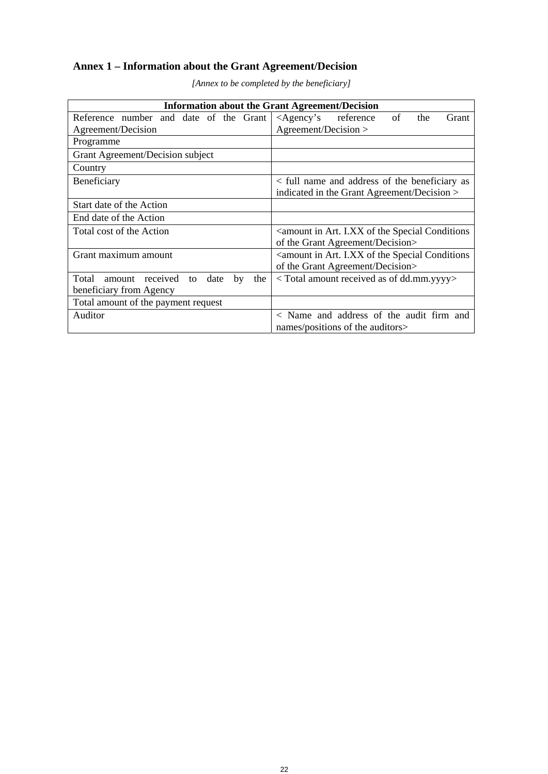# **Annex 1 – Information about the Grant Agreement/Decision**

| <b>Information about the Grant Agreement/Decision</b>                                                                 |                                                                                      |  |  |  |
|-----------------------------------------------------------------------------------------------------------------------|--------------------------------------------------------------------------------------|--|--|--|
| Reference number and date of the Grant $\vert$ <agency's reference<="" td=""><td>of<br/>the<br/>Grant</td></agency's> | of<br>the<br>Grant                                                                   |  |  |  |
| Agreement/Decision                                                                                                    | Agreement/Decision >                                                                 |  |  |  |
| Programme                                                                                                             |                                                                                      |  |  |  |
| Grant Agreement/Decision subject                                                                                      |                                                                                      |  |  |  |
| Country                                                                                                               |                                                                                      |  |  |  |
| Beneficiary                                                                                                           | < full name and address of the beneficiary as                                        |  |  |  |
|                                                                                                                       | indicated in the Grant Agreement/Decision >                                          |  |  |  |
| Start date of the Action                                                                                              |                                                                                      |  |  |  |
| End date of the Action                                                                                                |                                                                                      |  |  |  |
| Total cost of the Action                                                                                              | <amount art.="" conditions<="" i.xx="" in="" of="" special="" td="" the=""></amount> |  |  |  |
|                                                                                                                       | of the Grant Agreement/Decision>                                                     |  |  |  |
| Grant maximum amount                                                                                                  | <amount art.="" conditions<="" i.xx="" in="" of="" special="" td="" the=""></amount> |  |  |  |
|                                                                                                                       | of the Grant Agreement/Decision>                                                     |  |  |  |
| Total<br>received<br>date<br>amount<br>to<br>by<br>the                                                                | <total amount="" as="" dd.mm.yyyy="" of="" received=""></total>                      |  |  |  |
| beneficiary from Agency                                                                                               |                                                                                      |  |  |  |
| Total amount of the payment request                                                                                   |                                                                                      |  |  |  |
| Auditor                                                                                                               | < Name and address of the audit firm and                                             |  |  |  |
|                                                                                                                       | names/positions of the auditors>                                                     |  |  |  |

*[Annex to be completed by the beneficiary]*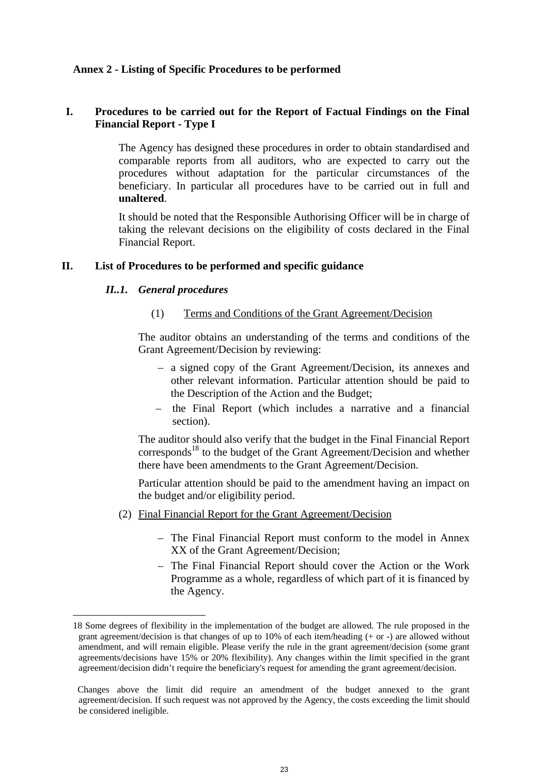# **Annex 2 - Listing of Specific Procedures to be performed**

# **I. Procedures to be carried out for the Report of Factual Findings on the Final Financial Report - Type I**

The Agency has designed these procedures in order to obtain standardised and comparable reports from all auditors, who are expected to carry out the procedures without adaptation for the particular circumstances of the beneficiary. In particular all procedures have to be carried out in full and **unaltered**.

It should be noted that the Responsible Authorising Officer will be in charge of taking the relevant decisions on the eligibility of costs declared in the Final Financial Report.

#### **II. List of Procedures to be performed and specific guidance**

# *II..1. General procedures*

 $\overline{a}$ 

#### (1) Terms and Conditions of the Grant Agreement/Decision

The auditor obtains an understanding of the terms and conditions of the Grant Agreement/Decision by reviewing:

- a signed copy of the Grant Agreement/Decision, its annexes and other relevant information. Particular attention should be paid to the Description of the Action and the Budget;
- the Final Report (which includes a narrative and a financial section).

The auditor should also verify that the budget in the Final Financial Report corresponds<sup>18</sup> to the budget of the Grant Agreement/Decision and whether there have been amendments to the Grant Agreement/Decision.

Particular attention should be paid to the amendment having an impact on the budget and/or eligibility period.

- (2) Final Financial Report for the Grant Agreement/Decision
	- The Final Financial Report must conform to the model in Annex XX of the Grant Agreement/Decision;
	- The Final Financial Report should cover the Action or the Work Programme as a whole, regardless of which part of it is financed by the Agency.

<sup>18</sup> Some degrees of flexibility in the implementation of the budget are allowed. The rule proposed in the grant agreement/decision is that changes of up to 10% of each item/heading (+ or -) are allowed without amendment, and will remain eligible. Please verify the rule in the grant agreement/decision (some grant agreements/decisions have 15% or 20% flexibility). Any changes within the limit specified in the grant agreement/decision didn't require the beneficiary's request for amending the grant agreement/decision.

Changes above the limit did require an amendment of the budget annexed to the grant agreement/decision. If such request was not approved by the Agency, the costs exceeding the limit should be considered ineligible.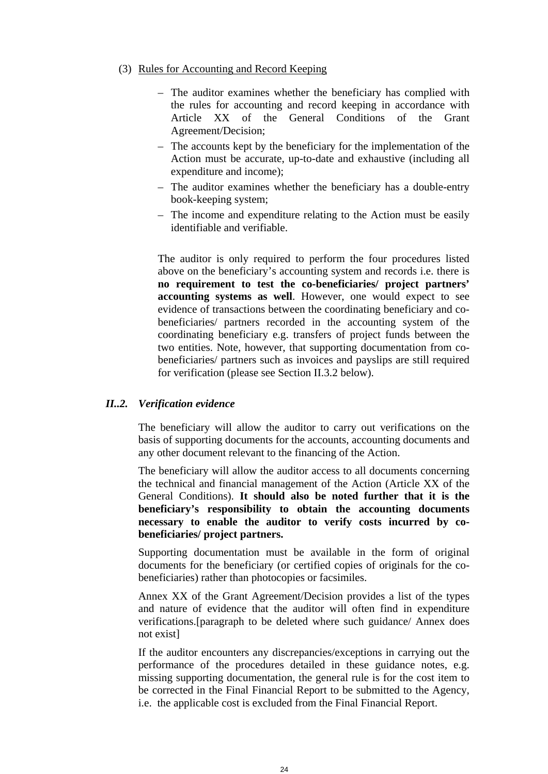#### (3) Rules for Accounting and Record Keeping

- The auditor examines whether the beneficiary has complied with the rules for accounting and record keeping in accordance with Article XX of the General Conditions of the Grant Agreement/Decision;
- The accounts kept by the beneficiary for the implementation of the Action must be accurate, up-to-date and exhaustive (including all expenditure and income);
- The auditor examines whether the beneficiary has a double-entry book-keeping system;
- The income and expenditure relating to the Action must be easily identifiable and verifiable.

The auditor is only required to perform the four procedures listed above on the beneficiary's accounting system and records i.e. there is **no requirement to test the co-beneficiaries/ project partners' accounting systems as well**. However, one would expect to see evidence of transactions between the coordinating beneficiary and cobeneficiaries/ partners recorded in the accounting system of the coordinating beneficiary e.g. transfers of project funds between the two entities. Note, however, that supporting documentation from cobeneficiaries/ partners such as invoices and payslips are still required for verification (please see Section II.3.2 below).

#### *II..2. Verification evidence*

The beneficiary will allow the auditor to carry out verifications on the basis of supporting documents for the accounts, accounting documents and any other document relevant to the financing of the Action.

The beneficiary will allow the auditor access to all documents concerning the technical and financial management of the Action (Article XX of the General Conditions). **It should also be noted further that it is the beneficiary's responsibility to obtain the accounting documents necessary to enable the auditor to verify costs incurred by cobeneficiaries/ project partners.**

Supporting documentation must be available in the form of original documents for the beneficiary (or certified copies of originals for the cobeneficiaries) rather than photocopies or facsimiles.

Annex XX of the Grant Agreement/Decision provides a list of the types and nature of evidence that the auditor will often find in expenditure verifications.[paragraph to be deleted where such guidance/ Annex does not exist]

If the auditor encounters any discrepancies/exceptions in carrying out the performance of the procedures detailed in these guidance notes, e.g. missing supporting documentation, the general rule is for the cost item to be corrected in the Final Financial Report to be submitted to the Agency, i.e. the applicable cost is excluded from the Final Financial Report.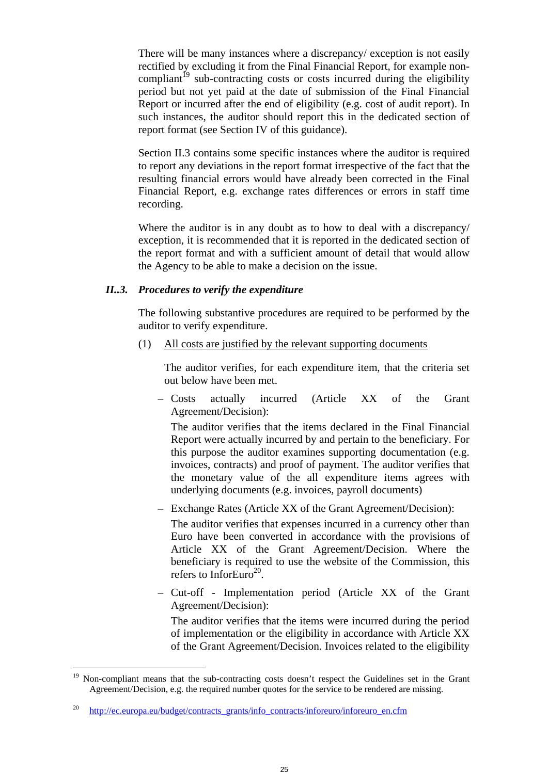There will be many instances where a discrepancy/ exception is not easily rectified by excluding it from the Final Financial Report, for example noncompliant<sup> $19$ </sup> sub-contracting costs or costs incurred during the eligibility period but not yet paid at the date of submission of the Final Financial Report or incurred after the end of eligibility (e.g. cost of audit report). In such instances, the auditor should report this in the dedicated section of report format (see Section IV of this guidance).

Section II.3 contains some specific instances where the auditor is required to report any deviations in the report format irrespective of the fact that the resulting financial errors would have already been corrected in the Final Financial Report, e.g. exchange rates differences or errors in staff time recording.

Where the auditor is in any doubt as to how to deal with a discrepancy/ exception, it is recommended that it is reported in the dedicated section of the report format and with a sufficient amount of detail that would allow the Agency to be able to make a decision on the issue.

# *II..3. Procedures to verify the expenditure*

The following substantive procedures are required to be performed by the auditor to verify expenditure.

(1) All costs are justified by the relevant supporting documents

The auditor verifies, for each expenditure item, that the criteria set out below have been met.

– Costs actually incurred (Article XX of the Grant Agreement/Decision):

The auditor verifies that the items declared in the Final Financial Report were actually incurred by and pertain to the beneficiary. For this purpose the auditor examines supporting documentation (e.g. invoices, contracts) and proof of payment. The auditor verifies that the monetary value of the all expenditure items agrees with underlying documents (e.g. invoices, payroll documents)

– Exchange Rates (Article XX of the Grant Agreement/Decision):

The auditor verifies that expenses incurred in a currency other than Euro have been converted in accordance with the provisions of Article XX of the Grant Agreement/Decision. Where the beneficiary is required to use the website of the Commission, this refers to InforEuro<sup>20</sup>.

– Cut-off - Implementation period (Article XX of the Grant Agreement/Decision):

The auditor verifies that the items were incurred during the period of implementation or the eligibility in accordance with Article XX of the Grant Agreement/Decision. Invoices related to the eligibility

<sup>&</sup>lt;sup>19</sup> Non-compliant means that the sub-contracting costs doesn't respect the Guidelines set in the Grant Agreement/Decision, e.g. the required number quotes for the service to be rendered are missing.

<sup>20</sup> http://ec.europa.eu/budget/contracts\_grants/info\_contracts/inforeuro/inforeuro\_en.cfm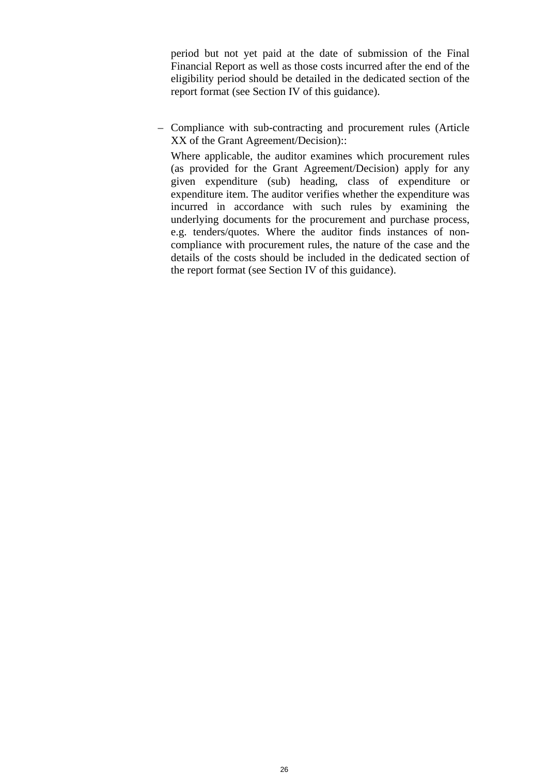period but not yet paid at the date of submission of the Final Financial Report as well as those costs incurred after the end of the eligibility period should be detailed in the dedicated section of the report format (see Section IV of this guidance).

– Compliance with sub-contracting and procurement rules (Article XX of the Grant Agreement/Decision)::

Where applicable, the auditor examines which procurement rules (as provided for the Grant Agreement/Decision) apply for any given expenditure (sub) heading, class of expenditure or expenditure item. The auditor verifies whether the expenditure was incurred in accordance with such rules by examining the underlying documents for the procurement and purchase process, e.g. tenders/quotes. Where the auditor finds instances of noncompliance with procurement rules, the nature of the case and the details of the costs should be included in the dedicated section of the report format (see Section IV of this guidance).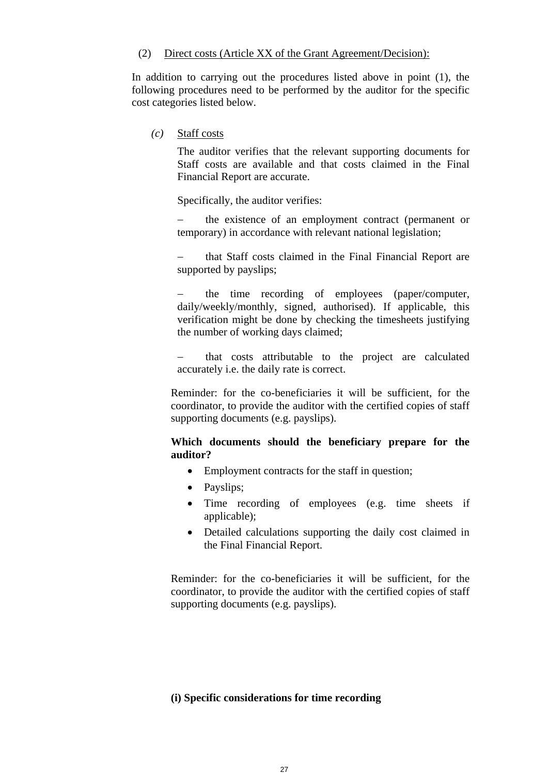#### (2) Direct costs (Article XX of the Grant Agreement/Decision):

In addition to carrying out the procedures listed above in point (1), the following procedures need to be performed by the auditor for the specific cost categories listed below.

*(c)* Staff costs

The auditor verifies that the relevant supporting documents for Staff costs are available and that costs claimed in the Final Financial Report are accurate.

Specifically, the auditor verifies:

 the existence of an employment contract (permanent or temporary) in accordance with relevant national legislation;

 that Staff costs claimed in the Final Financial Report are supported by payslips;

 the time recording of employees (paper/computer, daily/weekly/monthly, signed, authorised). If applicable, this verification might be done by checking the timesheets justifying the number of working days claimed;

 that costs attributable to the project are calculated accurately i.e. the daily rate is correct.

Reminder: for the co-beneficiaries it will be sufficient, for the coordinator, to provide the auditor with the certified copies of staff supporting documents (e.g. payslips).

# **Which documents should the beneficiary prepare for the auditor?**

- Employment contracts for the staff in question;
- Payslips;
- Time recording of employees (e.g. time sheets if applicable);
- Detailed calculations supporting the daily cost claimed in the Final Financial Report.

Reminder: for the co-beneficiaries it will be sufficient, for the coordinator, to provide the auditor with the certified copies of staff supporting documents (e.g. payslips).

# **(i) Specific considerations for time recording**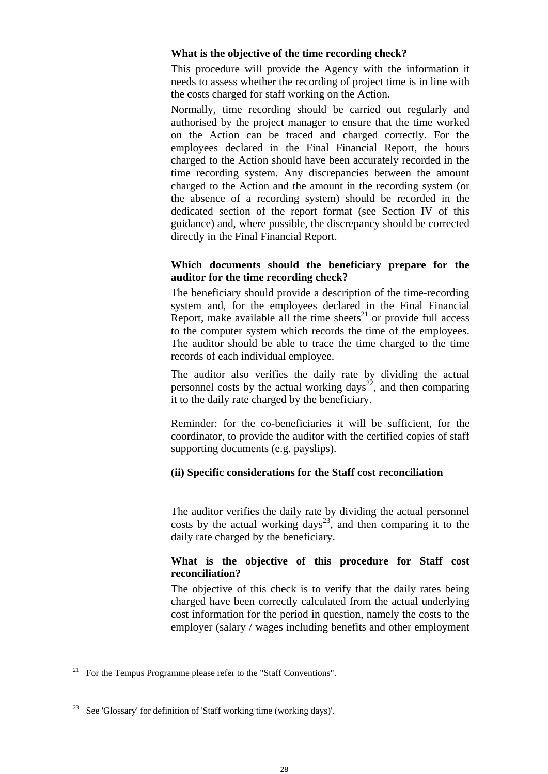# **What is the objective of the time recording check?**

This procedure will provide the Agency with the information it needs to assess whether the recording of project time is in line with the costs charged for staff working on the Action.

Normally, time recording should be carried out regularly and authorised by the project manager to ensure that the time worked on the Action can be traced and charged correctly. For the employees declared in the Final Financial Report, the hours charged to the Action should have been accurately recorded in the time recording system. Any discrepancies between the amount charged to the Action and the amount in the recording system (or the absence of a recording system) should be recorded in the dedicated section of the report format (see Section IV of this guidance) and, where possible, the discrepancy should be corrected directly in the Final Financial Report.

# **Which documents should the beneficiary prepare for the auditor for the time recording check?**

The beneficiary should provide a description of the time-recording system and, for the employees declared in the Final Financial Report, make available all the time sheets<sup>21</sup> or provide full access to the computer system which records the time of the employees. The auditor should be able to trace the time charged to the time records of each individual employee.

The auditor also verifies the daily rate by dividing the actual personnel costs by the actual working  $days^{22}$ , and then comparing it to the daily rate charged by the beneficiary.

Reminder: for the co-beneficiaries it will be sufficient, for the coordinator, to provide the auditor with the certified copies of staff supporting documents (e.g. payslips).

# **(ii) Specific considerations for the Staff cost reconciliation**

The auditor verifies the daily rate by dividing the actual personnel costs by the actual working days<sup>23</sup>, and then comparing it to the daily rate charged by the beneficiary.

# **What is the objective of this procedure for Staff cost reconciliation?**

The objective of this check is to verify that the daily rates being charged have been correctly calculated from the actual underlying cost information for the period in question, namely the costs to the employer (salary / wages including benefits and other employment

<sup>&</sup>lt;sup>21</sup> For the Tempus Programme please refer to the "Staff Conventions".

<sup>&</sup>lt;sup>23</sup> See 'Glossary' for definition of 'Staff working time (working days)'.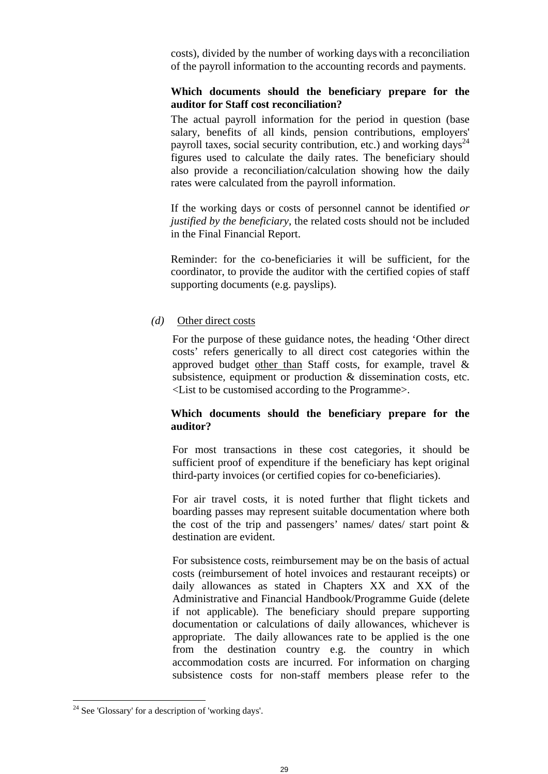costs), divided by the number of working days with a reconciliation of the payroll information to the accounting records and payments.

# **Which documents should the beneficiary prepare for the auditor for Staff cost reconciliation?**

The actual payroll information for the period in question (base salary, benefits of all kinds, pension contributions, employers' payroll taxes, social security contribution, etc.) and working days<sup>24</sup> figures used to calculate the daily rates. The beneficiary should also provide a reconciliation/calculation showing how the daily rates were calculated from the payroll information.

If the working days or costs of personnel cannot be identified *or justified by the beneficiary*, the related costs should not be included in the Final Financial Report.

Reminder: for the co-beneficiaries it will be sufficient, for the coordinator, to provide the auditor with the certified copies of staff supporting documents (e.g. payslips).

#### *(d)* Other direct costs

For the purpose of these guidance notes, the heading 'Other direct costs' refers generically to all direct cost categories within the approved budget other than Staff costs, for example, travel & subsistence, equipment or production & dissemination costs, etc. <List to be customised according to the Programme>.

# **Which documents should the beneficiary prepare for the auditor?**

For most transactions in these cost categories, it should be sufficient proof of expenditure if the beneficiary has kept original third-party invoices (or certified copies for co-beneficiaries).

For air travel costs, it is noted further that flight tickets and boarding passes may represent suitable documentation where both the cost of the trip and passengers' names/ dates/ start point & destination are evident.

For subsistence costs, reimbursement may be on the basis of actual costs (reimbursement of hotel invoices and restaurant receipts) or daily allowances as stated in Chapters XX and XX of the Administrative and Financial Handbook/Programme Guide (delete if not applicable). The beneficiary should prepare supporting documentation or calculations of daily allowances, whichever is appropriate. The daily allowances rate to be applied is the one from the destination country e.g. the country in which accommodation costs are incurred. For information on charging subsistence costs for non-staff members please refer to the

<sup>24</sup> See 'Glossary' for a description of 'working days'.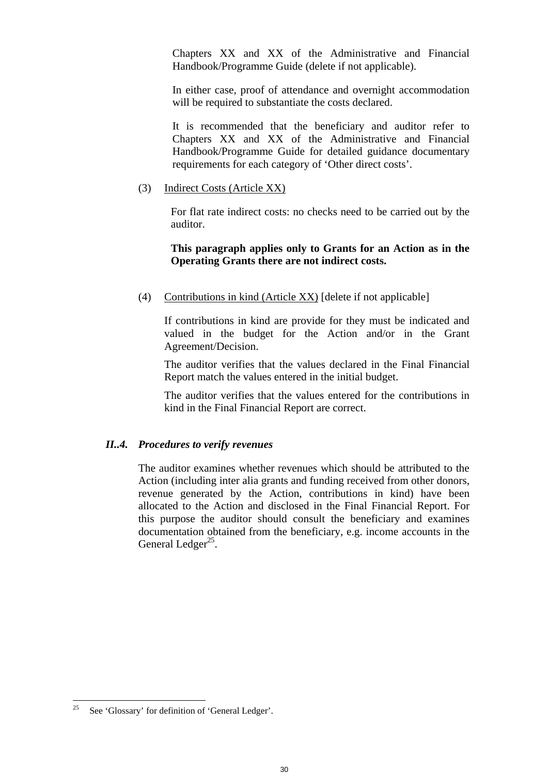Chapters XX and XX of the Administrative and Financial Handbook/Programme Guide (delete if not applicable).

In either case, proof of attendance and overnight accommodation will be required to substantiate the costs declared.

It is recommended that the beneficiary and auditor refer to Chapters XX and XX of the Administrative and Financial Handbook/Programme Guide for detailed guidance documentary requirements for each category of 'Other direct costs'.

(3) Indirect Costs (Article XX)

For flat rate indirect costs: no checks need to be carried out by the auditor.

#### **This paragraph applies only to Grants for an Action as in the Operating Grants there are not indirect costs.**

(4) Contributions in kind (Article XX) [delete if not applicable]

If contributions in kind are provide for they must be indicated and valued in the budget for the Action and/or in the Grant Agreement/Decision.

The auditor verifies that the values declared in the Final Financial Report match the values entered in the initial budget.

The auditor verifies that the values entered for the contributions in kind in the Final Financial Report are correct.

#### *II..4. Procedures to verify revenues*

The auditor examines whether revenues which should be attributed to the Action (including inter alia grants and funding received from other donors, revenue generated by the Action, contributions in kind) have been allocated to the Action and disclosed in the Final Financial Report. For this purpose the auditor should consult the beneficiary and examines documentation obtained from the beneficiary, e.g. income accounts in the General Ledger<sup>25</sup>.

<sup>25</sup> See 'Glossary' for definition of 'General Ledger'.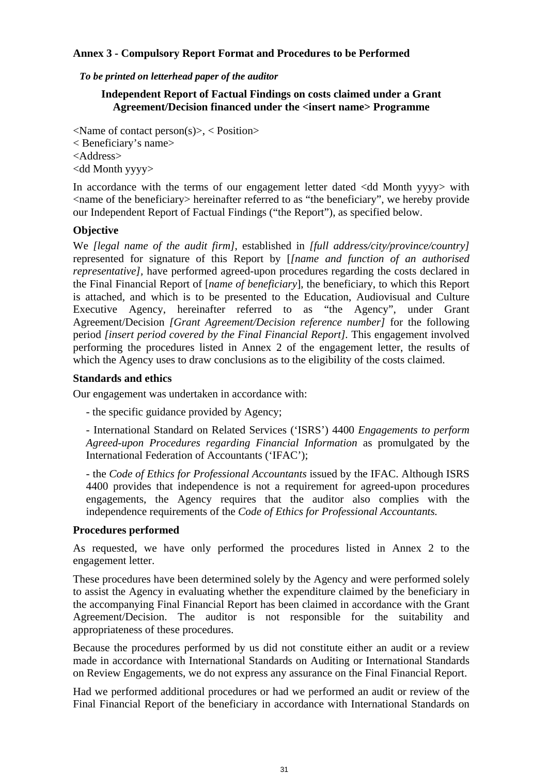# **Annex 3 - Compulsory Report Format and Procedures to be Performed**

#### *To be printed on letterhead paper of the auditor*

# **Independent Report of Factual Findings on costs claimed under a Grant Agreement/Decision financed under the <insert name> Programme**

 $\langle$ Name of contact person $(s)$ >,  $\langle$  Position> < Beneficiary's name> <Address> <dd Month yyyy>

In accordance with the terms of our engagement letter dated <dd Month yyyy> with <name of the beneficiary> hereinafter referred to as "the beneficiary", we hereby provide our Independent Report of Factual Findings ("the Report"), as specified below.

# **Objective**

We *[legal name of the audit firm]*, established in *[full address/city/province/country]*  represented for signature of this Report by [*[name and function of an authorised representative]*, have performed agreed-upon procedures regarding the costs declared in the Final Financial Report of [*name of beneficiary*], the beneficiary, to which this Report is attached, and which is to be presented to the Education, Audiovisual and Culture Executive Agency, hereinafter referred to as "the Agency", under Grant Agreement/Decision *[Grant Agreement/Decision reference number]* for the following period *[insert period covered by the Final Financial Report].* This engagement involved performing the procedures listed in Annex 2 of the engagement letter, the results of which the Agency uses to draw conclusions as to the eligibility of the costs claimed.

# **Standards and ethics**

Our engagement was undertaken in accordance with:

- the specific guidance provided by Agency;

- International Standard on Related Services ('ISRS') 4400 *Engagements to perform Agreed-upon Procedures regarding Financial Information* as promulgated by the International Federation of Accountants ('IFAC');

- the *Code of Ethics for Professional Accountants* issued by the IFAC. Although ISRS 4400 provides that independence is not a requirement for agreed-upon procedures engagements, the Agency requires that the auditor also complies with the independence requirements of the *Code of Ethics for Professional Accountants.*

# **Procedures performed**

As requested, we have only performed the procedures listed in Annex 2 to the engagement letter.

These procedures have been determined solely by the Agency and were performed solely to assist the Agency in evaluating whether the expenditure claimed by the beneficiary in the accompanying Final Financial Report has been claimed in accordance with the Grant Agreement/Decision. The auditor is not responsible for the suitability and appropriateness of these procedures.

Because the procedures performed by us did not constitute either an audit or a review made in accordance with International Standards on Auditing or International Standards on Review Engagements, we do not express any assurance on the Final Financial Report.

Had we performed additional procedures or had we performed an audit or review of the Final Financial Report of the beneficiary in accordance with International Standards on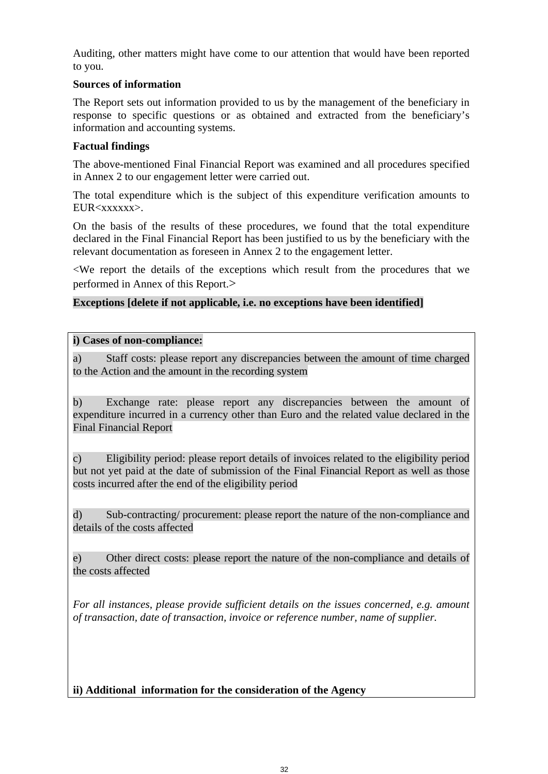Auditing, other matters might have come to our attention that would have been reported to you.

# **Sources of information**

The Report sets out information provided to us by the management of the beneficiary in response to specific questions or as obtained and extracted from the beneficiary's information and accounting systems.

# **Factual findings**

The above-mentioned Final Financial Report was examined and all procedures specified in Annex 2 to our engagement letter were carried out.

The total expenditure which is the subject of this expenditure verification amounts to EUR<xxxxxx>.

On the basis of the results of these procedures, we found that the total expenditure declared in the Final Financial Report has been justified to us by the beneficiary with the relevant documentation as foreseen in Annex 2 to the engagement letter.

<We report the details of the exceptions which result from the procedures that we performed in Annex of this Report.>

# **Exceptions [delete if not applicable, i.e. no exceptions have been identified]**

# **i) Cases of non-compliance:**

a) Staff costs: please report any discrepancies between the amount of time charged to the Action and the amount in the recording system

b) Exchange rate: please report any discrepancies between the amount of expenditure incurred in a currency other than Euro and the related value declared in the Final Financial Report

c) Eligibility period: please report details of invoices related to the eligibility period but not yet paid at the date of submission of the Final Financial Report as well as those costs incurred after the end of the eligibility period

d) Sub-contracting/ procurement: please report the nature of the non-compliance and details of the costs affected

e) Other direct costs: please report the nature of the non-compliance and details of the costs affected

*For all instances, please provide sufficient details on the issues concerned, e.g. amount of transaction, date of transaction, invoice or reference number, name of supplier.* 

# **ii) Additional information for the consideration of the Agency**